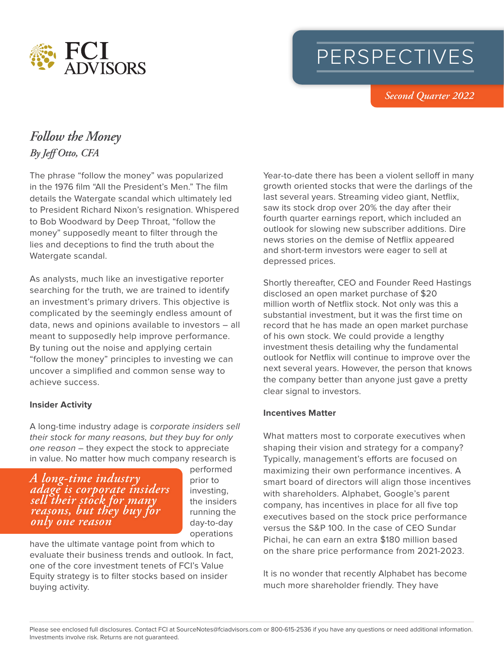

# PERSPECTIVES

 *Second Quarter 2022*

## *Follow the Money By Jeff Otto, CFA*

The phrase "follow the money" was popularized in the 1976 film "All the President's Men." The film details the Watergate scandal which ultimately led to President Richard Nixon's resignation. Whispered to Bob Woodward by Deep Throat, "follow the money" supposedly meant to filter through the lies and deceptions to find the truth about the Watergate scandal.

As analysts, much like an investigative reporter searching for the truth, we are trained to identify an investment's primary drivers. This objective is complicated by the seemingly endless amount of data, news and opinions available to investors – all meant to supposedly help improve performance. By tuning out the noise and applying certain "follow the money" principles to investing we can uncover a simplified and common sense way to achieve success.

#### **Insider Activity**

A long-time industry adage is *corporate insiders sell their stock for many reasons, but they buy for only one reason* – they expect the stock to appreciate in value. No matter how much company research is

b *A long-time industry adage is corporate insiders sell their stock for many reasons, but they buy for only one reason*

performed prior to investing, the insiders running the day-to-day operations

have the ultimate vantage point from which to evaluate their business trends and outlook. In fact, one of the core investment tenets of FCI's Value Equity strategy is to filter stocks based on insider buying activity.

Year-to-date there has been a violent selloff in many growth oriented stocks that were the darlings of the last several years. Streaming video giant, Netflix, saw its stock drop over 20% the day after their fourth quarter earnings report, which included an outlook for slowing new subscriber additions. Dire news stories on the demise of Netflix appeared and short-term investors were eager to sell at depressed prices.

Shortly thereafter, CEO and Founder Reed Hastings disclosed an open market purchase of \$20 million worth of Netflix stock. Not only was this a substantial investment, but it was the first time on record that he has made an open market purchase of his own stock. We could provide a lengthy investment thesis detailing why the fundamental outlook for Netflix will continue to improve over the next several years. However, the person that knows the company better than anyone just gave a pretty clear signal to investors.

#### **Incentives Matter**

What matters most to corporate executives when shaping their vision and strategy for a company? Typically, management's efforts are focused on maximizing their own performance incentives. A smart board of directors will align those incentives with shareholders. Alphabet, Google's parent company, has incentives in place for all five top executives based on the stock price performance versus the S&P 100. In the case of CEO Sundar Pichai, he can earn an extra \$180 million based on the share price performance from 2021-2023.

It is no wonder that recently Alphabet has become much more shareholder friendly. They have

Please see enclosed full disclosures. Contact FCI at SourceNotes@fciadvisors.com or 800-615-2536 if you have any questions or need additional information. Investments involve risk. Returns are not guaranteed.